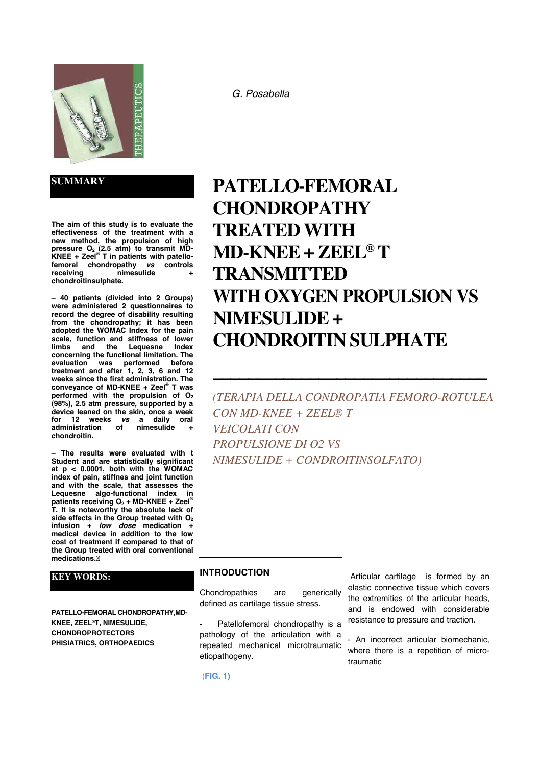

**SUMMARY**

**The aim of this study is to evaluate the effectiveness of the treatment with a new method, the propulsion of high pressure O2 (2.5 atm) to transmit MD-KNEE + Zeel ® T in patients with patellofemoral chondropathy** *vs* **controls**   $n$ **imesulide chondroitinsulphate.** 

**– 40 patients (divided into 2 Groups) were administered 2 questionnaires to record the degree of disability resulting from the chondropathy; it has been adopted the WOMAC Index for the pain scale, function and stiffness of lower Lequesne concerning the functional limitation. The evaluation was performed before treatment and after 1, 2, 3, 6 and 12 weeks since the first administration. The conveyance of MD-KNEE + Zeel® T was performed with the propulsion of O2 (98%), 2.5 atm pressure, supported by a device leaned on the skin, once a week for 12 weeks** *vs* **a daily oral administration of nimesulide + chondroitin.** 

**– The results were evaluated with t Student and are statistically significant at p < 0.0001, both with the WOMAC index of pain, stiffnes and joint function and with the scale, that assesses the Lequesne algo-functional index in patients receiving O2 + MD-KNEE + Zeel ® T. It is noteworthy the absolute lack of side effects in the Group treated with O2 infusion +** *low dose* **medication + medical device in addition to the low cost of treatment if compared to that of the Group treated with oral conventional medications.**

# **KEY WORDS:**

**PATELLO-FEMORAL CHONDROPATHY,MD-KNEE, ZEEL®T, NIMESULIDE, CHONDROPROTECTORS PHISIATRICS, ORTHOPAEDICS**

#### *G. Posabella*

# **PATELLO-FEMORAL CHONDROPATHY TREATED WITH MD-KNEE + ZEEL® T TRANSMITTED WITH OXYGEN PROPULSION VS NIMESULIDE + CHONDROITIN SULPHATE**

*(TERAPIA DELLA CONDROPATIA FEMORO-ROTULEA CON MD-KNEE + ZEEL® T VEICOLATI CON PROPULSIONE DI O2 VS NIMESULIDE + CONDROITINSOLFATO)* 

**\_\_\_\_\_\_\_\_\_\_\_\_\_\_\_\_\_\_\_\_\_\_\_\_\_\_\_\_\_\_\_**

#### **INTRODUCTION**

Chondropathies are generically defined as cartilage tissue stress.

Patellofemoral chondropathy is a pathology of the articulation with a repeated mechanical microtraumatic etiopathogeny.

 Articular cartilage is formed by an elastic connective tissue which covers the extremities of the articular heads, and is endowed with considerable resistance to pressure and traction.

- An incorrect articular biomechanic, where there is a repetition of microtraumatic

(**FIG. 1)**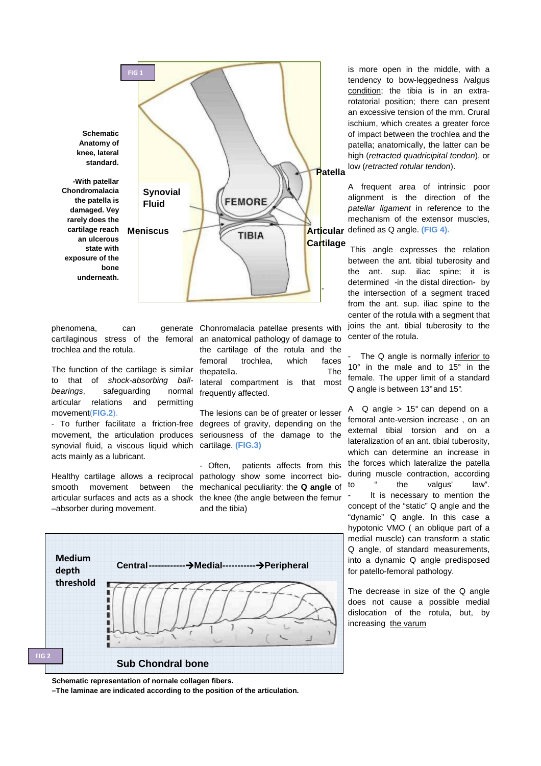

phenomena, can cartilaginous stress of the femoral trochlea and the rotula.

The function of the cartilage is similar to that of shock-absorbing ballbearings, safeguarding normal articular relations and permitting movement(**FIG.2**).

- To further facilitate a friction-free synovial fluid, a viscous liquid which cartilage. **(FIG.3)**  acts mainly as a lubricant.

Healthy cartilage allows a reciprocal pathology show some incorrect biosmooth movement between –absorber during movement.

generate Chonromalacia patellae presents with an anatomical pathology of damage to the cartilage of the rotula and the femoral trochlea, which faces thepatella. The lateral compartment is that most frequently affected.

movement, the articulation produces seriousness of the damage to the The lesions can be of greater or lesser degrees of gravity, depending on the

articular surfaces and acts as a shock the knee (the angle between the femur - Often, patients affects from this mechanical peculiarity: the **Q angle** of and the tibia)



**Schematic representation of nornale collagen fibers.** 

**–The laminae are indicated according to the position of the articulation.** 

is more open in the middle, with a tendency to bow-leggedness /valgus condition; the tibia is in an extrarotatorial position; there can present an excessive tension of the mm. Crural ischium, which creates a greater force of impact between the trochlea and the patella; anatomically, the latter can be high (retracted quadricipital tendon), or low (retracted rotular tendon).

A frequent area of intrinsic poor alignment is the direction of the patellar ligament in reference to the mechanism of the extensor muscles, Articular defined as Q angle. (FIG 4).

 This angle expresses the relation between the ant. tibial tuberosity and the ant. sup. iliac spine; it is determined -in the distal direction- by the intersection of a segment traced from the ant. sup. iliac spine to the center of the rotula with a segment that joins the ant. tibial tuberosity to the center of the rotula.

The Q angle is normally inferior to 10° in the male and to 15° in the female. The upper limit of a standard Q angle is between 13° and 15°.

A  $\alpha$  angle > 15 $\degree$  can depend on a femoral ante-version increase , on an external tibial torsion and on a lateralization of an ant. tibial tuberosity, which can determine an increase in the forces which lateralize the patella during muscle contraction, according to " the valgus' law". It is necessary to mention the concept of the "static" Q angle and the "dynamic" Q angle. In this case a hypotonic VMO ( an oblique part of a medial muscle) can transform a static Q angle, of standard measurements, into a dynamic Q angle predisposed for patello-femoral pathology.

The decrease in size of the Q angle does not cause a possible medial dislocation of the rotula, but, by increasing the varum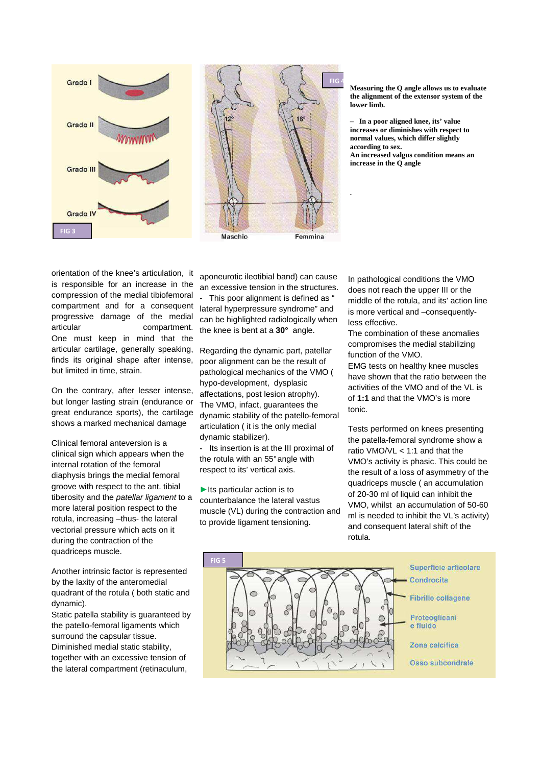



**Measuring the Q angle allows us to evaluate the alignment of the extensor system of the lower limb.** 

**– In a poor aligned knee, its' value increases or diminishes with respect to normal values, which differ slightly according to sex. An increased valgus condition means an increase in the Q angle** 

**.**

orientation of the knee's articulation, it is responsible for an increase in the compression of the medial tibiofemoral compartment and for a consequent progressive damage of the medial articular compartment. One must keep in mind that the articular cartilage, generally speaking, finds its original shape after intense, but limited in time, strain.

On the contrary, after lesser intense, but longer lasting strain (endurance or great endurance sports), the cartilage shows a marked mechanical damage

Clinical femoral anteversion is a clinical sign which appears when the internal rotation of the femoral diaphysis brings the medial femoral groove with respect to the ant. tibial tiberosity and the *patellar ligament* to a more lateral position respect to the rotula, increasing –thus- the lateral vectorial pressure which acts on it during the contraction of the quadriceps muscle.

Another intrinsic factor is represented by the laxity of the anteromedial quadrant of the rotula ( both static and dynamic).

Static patella stability is guaranteed by the patello-femoral ligaments which surround the capsular tissue. Diminished medial static stability, together with an excessive tension of the lateral compartment (retinaculum,

aponeurotic ileotibial band) can cause an excessive tension in the structures.

This poor alignment is defined as ' lateral hyperpressure syndrome" and can be highlighted radiologically when the knee is bent at a **30°** angle.

Regarding the dynamic part, patellar poor alignment can be the result of pathological mechanics of the VMO ( hypo-development, dysplasic affectations, post lesion atrophy). The VMO, infact, guarantees the dynamic stability of the patello-femoral articulation ( it is the only medial dynamic stabilizer).

- Its insertion is at the III proximal of the rotula with an 55° angle with respect to its' vertical axis.

 $\blacktriangleright$  Its particular action is to counterbalance the lateral vastus muscle (VL) during the contraction and to provide ligament tensioning.

In pathological conditions the VMO does not reach the upper III or the middle of the rotula, and its' action line is more vertical and –consequentlyless effective.

The combination of these anomalies compromises the medial stabilizing function of the VMO.

EMG tests on healthy knee muscles have shown that the ratio between the activities of the VMO and of the VL is of **1:1** and that the VMO's is more tonic.

Tests performed on knees presenting the patella-femoral syndrome show a ratio VMO/VL < 1:1 and that the VMO's activity is phasic. This could be the result of a loss of asymmetry of the quadriceps muscle ( an accumulation of 20-30 ml of liquid can inhibit the VMO, whilst an accumulation of 50-60 ml is needed to inhibit the VL's activity) and consequent lateral shift of the rotula.

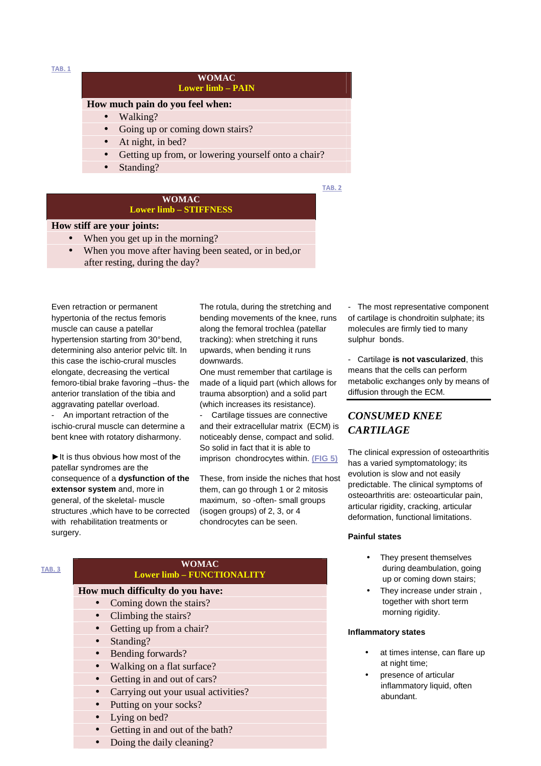**TAB. 1**

#### **WOMAC Lower limb – PAIN**

#### **How much pain do you feel when:**

- Walking?
- Going up or coming down stairs?
- At night, in bed?
- Getting up from, or lowering yourself onto a chair?
- Standing?

**TAB. 2**

#### **WOMAC Lower limb – STIFFNESS**

#### **How stiff are your joints:**

- When you get up in the morning?
- When you move after having been seated, or in bed, or after resting, during the day?

Even retraction or permanent hypertonia of the rectus femoris muscle can cause a patellar hypertension starting from 30° bend, determining also anterior pelvic tilt. In this case the ischio-crural muscles elongate, decreasing the vertical femoro-tibial brake favoring –thus- the anterior translation of the tibia and aggravating patellar overload.

An important retraction of the ischio-crural muscle can determine a bent knee with rotatory disharmony.

► It is thus obvious how most of the patellar syndromes are the consequence of a **dysfunction of the extensor system** and, more in general, of the skeletal- muscle structures ,which have to be corrected with rehabilitation treatments or surgery.

The rotula, during the stretching and bending movements of the knee, runs along the femoral trochlea (patellar tracking): when stretching it runs upwards, when bending it runs downwards.

One must remember that cartilage is made of a liquid part (which allows for trauma absorption) and a solid part (which increases its resistance).

Cartilage tissues are connective and their extracellular matrix (ECM) is noticeably dense, compact and solid. So solid in fact that it is able to imprison chondrocytes within. **(FIG 5)**

These, from inside the niches that host them, can go through 1 or 2 mitosis maximum, so -often- small groups (isogen groups) of 2, 3, or 4 chondrocytes can be seen.

- The most representative component of cartilage is chondroitin sulphate; its molecules are firmly tied to many sulphur bonds.

- Cartilage **is not vascularized**, this means that the cells can perform metabolic exchanges only by means of diffusion through the ECM.

# *CONSUMED KNEE CARTILAGE*

The clinical expression of osteoarthritis has a varied symptomatology; its evolution is slow and not easily predictable. The clinical symptoms of osteoarthritis are: osteoarticular pain, articular rigidity, cracking, articular deformation, functional limitations.

#### **Painful states**

- They present themselves during deambulation, going up or coming down stairs;
- They increase under strain, together with short term morning rigidity.

#### **Inflammatory states**

- at times intense, can flare up at night time;
- presence of articular inflammatory liquid, often abundant.

#### **TAB. 3**

#### **WOMAC Lower limb – FUNCTIONALITY**

#### **How much difficulty do you have:**

- Coming down the stairs?
- Climbing the stairs?
- Getting up from a chair?
- Standing?
- Bending forwards?
- Walking on a flat surface?
- Getting in and out of cars?
- Carrying out your usual activities?
- Putting on your socks?
- Lying on bed?
- Getting in and out of the bath?
- Doing the daily cleaning?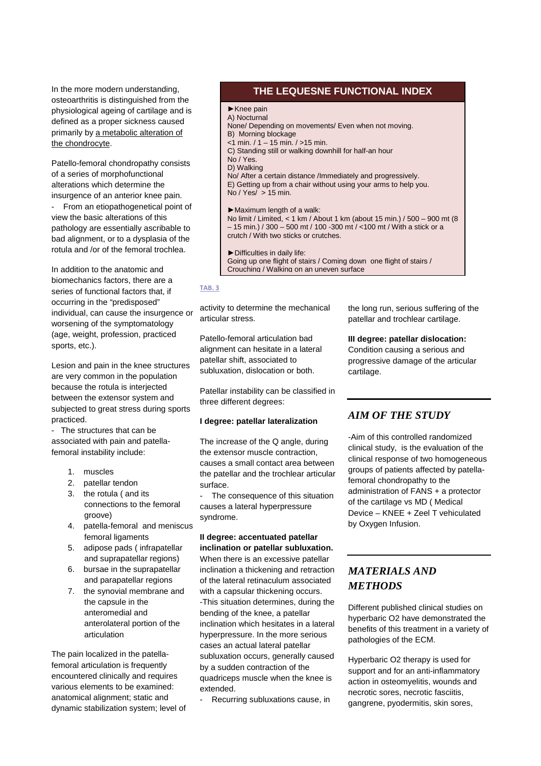In the more modern understanding, osteoarthritis is distinguished from the physiological ageing of cartilage and is defined as a proper sickness caused primarily by a metabolic alteration of the chondrocyte.

Patello-femoral chondropathy consists of a series of morphofunctional alterations which determine the insurgence of an anterior knee pain. From an etiopathogenetical point of view the basic alterations of this pathology are essentially ascribable to bad alignment, or to a dysplasia of the rotula and /or of the femoral trochlea.

In addition to the anatomic and biomechanics factors, there are a series of functional factors that, if occurring in the "predisposed" individual, can cause the insurgence or worsening of the symptomatology (age, weight, profession, practiced sports, etc.).

Lesion and pain in the knee structures are very common in the population because the rotula is interjected between the extensor system and subjected to great stress during sports practiced.

- The structures that can be associated with pain and patellafemoral instability include:

- 1. muscles
- 2. patellar tendon
- 3. the rotula ( and its connections to the femoral groove)
- 4. patella-femoral and meniscus femoral ligaments
- 5. adipose pads ( infrapatellar and suprapatellar regions)
- 6. bursae in the suprapatellar and parapatellar regions
- 7. the synovial membrane and the capsule in the anteromedial and anterolateral portion of the articulation

The pain localized in the patellafemoral articulation is frequently encountered clinically and requires various elements to be examined: anatomical alignment; static and dynamic stabilization system; level of

#### **THE LEQUESNE FUNCTIONAL INDEX THE LEQUESNE FUNCTIONAL INDEX**

- ►Knee pain A) Nocturnal
- None/ Depending on movements/ Even when not moving.
- B) Morning blockage
- $<$ 1 min. / 1 15 min. / > 15 min.
- C) Standing still or walking downhill for half-an hour
- No / Yes.
- D) Walking

No/ After a certain distance /Immediately and progressively. E) Getting up from a chair without using your arms to help you. No / Yes/  $> 15$  min.

#### ►Maximum length of a walk:

No limit / Limited, < 1 km / About 1 km (about 15 min.) / 500 – 900 mt (8 – 15 min.) / 300 – 500 mt / 100 -300 mt / <100 mt / With a stick or a crutch / With two sticks or crutches.

►Difficulties in daily life: Going up one flight of stairs / Coming down one flight of stairs / Crouching / Walking on an uneven surface

#### **TAB. 3**

activity to determine the mechanical articular stress.

Patello-femoral articulation bad alignment can hesitate in a lateral patellar shift, associated to subluxation, dislocation or both.

Patellar instability can be classified in three different degrees:

#### **I degree: patellar lateralization**

The increase of the Q angle, during the extensor muscle contraction, causes a small contact area between the patellar and the trochlear articular surface.

The consequence of this situation causes a lateral hyperpressure syndrome.

#### **II degree: accentuated patellar inclination or patellar subluxation.**

When there is an excessive patellar inclination a thickening and retraction of the lateral retinaculum associated with a capsular thickening occurs. -This situation determines, during the bending of the knee, a patellar inclination which hesitates in a lateral hyperpressure. In the more serious cases an actual lateral patellar subluxation occurs, generally caused by a sudden contraction of the quadriceps muscle when the knee is extended.

Recurring subluxations cause, in

the long run, serious suffering of the patellar and trochlear cartilage.

**III degree: patellar dislocation:**  Condition causing a serious and progressive damage of the articular cartilage.

# *AIM OF THE STUDY*

-Aim of this controlled randomized clinical study, is the evaluation of the clinical response of two homogeneous groups of patients affected by patellafemoral chondropathy to the administration of FANS + a protector of the cartilage vs MD ( Medical Device – KNEE + Zeel T vehiculated by Oxygen Infusion.

# *MATERIALS AND METHODS*

Different published clinical studies on hyperbaric O2 have demonstrated the benefits of this treatment in a variety of pathologies of the ECM.

Hyperbaric O2 therapy is used for support and for an anti-inflammatory action in osteomyelitis, wounds and necrotic sores, necrotic fasciitis, gangrene, pyodermitis, skin sores,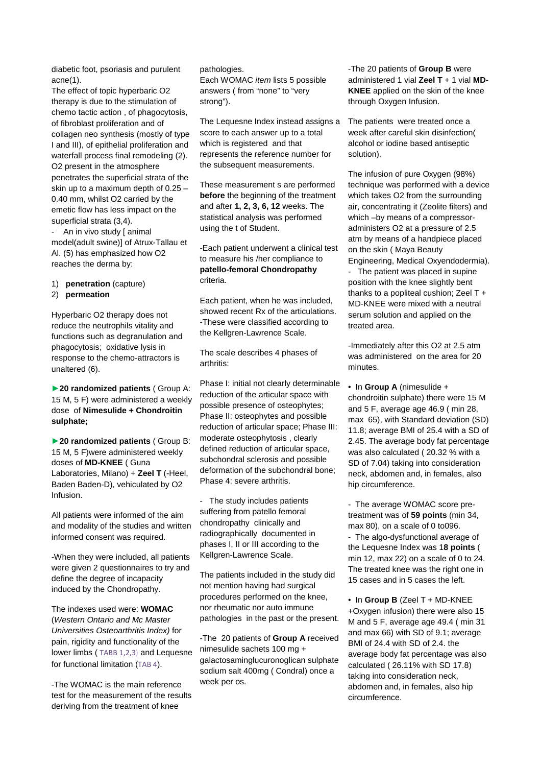diabetic foot, psoriasis and purulent acne(1).

The effect of topic hyperbaric O2 therapy is due to the stimulation of chemo tactic action , of phagocytosis, of fibroblast proliferation and of collagen neo synthesis (mostly of type I and III), of epithelial proliferation and waterfall process final remodeling (2). O2 present in the atmosphere penetrates the superficial strata of the skin up to a maximum depth of 0.25 – 0.40 mm, whilst O2 carried by the emetic flow has less impact on the superficial strata (3,4).

- An in vivo study [ animal model(adult swine)] of Atrux-Tallau et Al. (5) has emphasized how O2 reaches the derma by:

- 1) **penetration** (capture)
- 2) **permeation**

Hyperbaric O2 therapy does not reduce the neutrophils vitality and functions such as degranulation and phagocytosis; oxidative lysis in response to the chemo-attractors is unaltered (6).

►**20 randomized patients** ( Group A: 15 M, 5 F) were administered a weekly dose of **Nimesulide + Chondroitin sulphate;** 

►**20 randomized patients** ( Group B: 15 M, 5 F)were administered weekly doses of **MD-KNEE** ( Guna Laboratories, Milano) + **Zeel T** (-Heel, Baden Baden-D), vehiculated by O2 Infusion.

All patients were informed of the aim and modality of the studies and written informed consent was required.

-When they were included, all patients were given 2 questionnaires to try and define the degree of incapacity induced by the Chondropathy.

The indexes used were: **WOMAC** (Western Ontario and Mc Master Universities Osteoarthritis Index) for pain, rigidity and functionality of the lower limbs ( TABB 1,2,3) and Lequesne for functional limitation (TAB 4).

-The WOMAC is the main reference test for the measurement of the results deriving from the treatment of knee

#### pathologies.

Each WOMAC item lists 5 possible answers ( from "none" to "very strong").

The Lequesne Index instead assigns a score to each answer up to a total which is registered and that represents the reference number for the subsequent measurements.

These measurement s are performed **before** the beginning of the treatment and after **1, 2, 3, 6, 12** weeks. The statistical analysis was performed using the t of Student.

-Each patient underwent a clinical test to measure his /her compliance to **patello-femoral Chondropathy** criteria.

Each patient, when he was included, showed recent Rx of the articulations. -These were classified according to the Kellgren-Lawrence Scale.

The scale describes 4 phases of arthritis:

Phase I: initial not clearly determinable reduction of the articular space with possible presence of osteophytes; Phase II: osteophytes and possible reduction of articular space; Phase III: moderate osteophytosis , clearly defined reduction of articular space, subchondral sclerosis and possible deformation of the subchondral bone; Phase 4: severe arthritis.

- The study includes patients suffering from patello femoral chondropathy clinically and radiographically documented in phases I, II or III according to the Kellgren-Lawrence Scale.

The patients included in the study did not mention having had surgical procedures performed on the knee, nor rheumatic nor auto immune pathologies in the past or the present.

-The 20 patients of **Group A** received nimesulide sachets 100 mg + galactosaminglucuronoglican sulphate sodium salt 400mg ( Condral) once a week per os.

-The 20 patients of **Group B** were administered 1 vial **Zeel T** + 1 vial **MD-KNEE** applied on the skin of the knee through Oxygen Infusion.

The patients were treated once a week after careful skin disinfection( alcohol or iodine based antiseptic solution).

The infusion of pure Oxygen (98%) technique was performed with a device which takes O2 from the surrounding air, concentrating it (Zeolite filters) and which –by means of a compressoradministers O2 at a pressure of 2.5 atm by means of a handpiece placed on the skin ( Maya Beauty Engineering, Medical Oxyendodermia).

- The patient was placed in supine position with the knee slightly bent thanks to a popliteal cushion; Zeel T + MD-KNEE were mixed with a neutral serum solution and applied on the treated area.

-Immediately after this O2 at 2.5 atm was administered on the area for 20 minutes.

• In **Group A** (nimesulide + chondroitin sulphate) there were 15 M and 5 F, average age 46.9 ( min 28, max 65), with Standard deviation (SD) 11.8; average BMI of 25.4 with a SD of 2.45. The average body fat percentage was also calculated ( 20.32 % with a SD of 7.04) taking into consideration neck, abdomen and, in females, also hip circumference.

- The average WOMAC score pretreatment was of **59 points** (min 34, max 80), on a scale of 0 to096. - The algo-dysfunctional average of the Lequesne Index was 1**8 points** ( min 12, max 22) on a scale of 0 to 24. The treated knee was the right one in 15 cases and in 5 cases the left.

• In **Group B** (Zeel T + MD-KNEE +Oxygen infusion) there were also 15 M and 5 F, average age 49.4 ( min 31 and max 66) with SD of 9.1; average BMI of 24.4 with SD of 2.4. the average body fat percentage was also calculated ( 26.11% with SD 17.8) taking into consideration neck, abdomen and, in females, also hip circumference.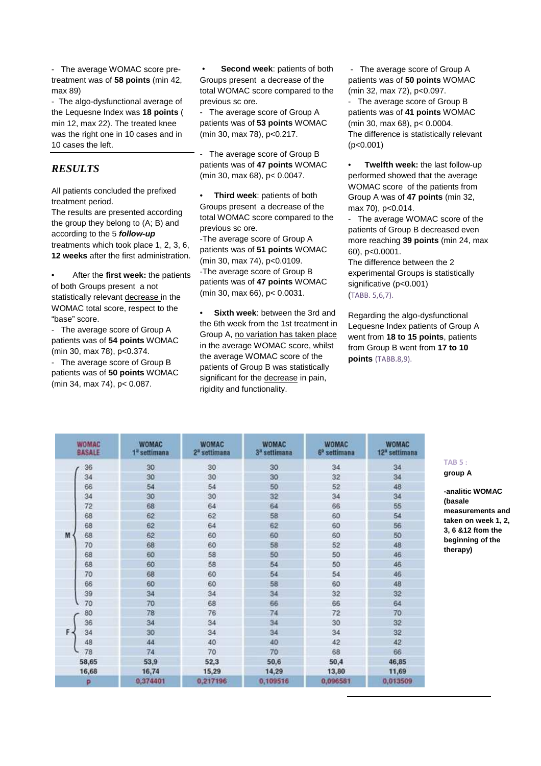- The average WOMAC score pretreatment was of **58 points** (min 42, max 89)

- The algo-dysfunctional average of the Lequesne Index was **18 points** ( min 12, max 22). The treated knee was the right one in 10 cases and in 10 cases the left.

#### *RESULTS*

All patients concluded the prefixed treatment period.

The results are presented according the group they belong to (A; B) and according to the 5 **follow-up** treatments which took place 1, 2, 3, 6, **12 weeks** after the first administration.

• After the **first week:** the patients of both Groups present a not statistically relevant decrease in the WOMAC total score, respect to the "base" score.

- The average score of Group A patients was of **54 points** WOMAC (min 30, max 78), p<0.374.

- The average score of Group B patients was of **50 points** WOMAC (min 34, max 74), p< 0.087.

**Second week: patients of both** Groups present a decrease of the total WOMAC score compared to the previous sc ore.

- The average score of Group A patients was of **53 points** WOMAC (min 30, max 78), p<0.217.

The average score of Group B patients was of **47 points** WOMAC (min 30, max 68), p< 0.0047.

• **Third week**: patients of both Groups present a decrease of the total WOMAC score compared to the previous sc ore.

-The average score of Group A patients was of **51 points** WOMAC (min 30, max 74), p<0.0109. -The average score of Group B patients was of **47 points** WOMAC (min 30, max 66), p< 0.0031.

**Sixth week: between the 3rd and** the 6th week from the 1st treatment in Group A, no variation has taken place in the average WOMAC score, whilst the average WOMAC score of the patients of Group B was statistically significant for the decrease in pain. rigidity and functionality.

 - The average score of Group A patients was of **50 points** WOMAC (min 32, max 72), p<0.097.

The average score of Group B patients was of **41 points** WOMAC (min 30, max 68), p< 0.0004. The difference is statistically relevant (p<0.001)

• **Twelfth week:** the last follow-up performed showed that the average WOMAC score of the patients from Group A was of **47 points** (min 32, max 70), p<0.014.

The average WOMAC score of the patients of Group B decreased even more reaching **39 points** (min 24, max 60), p<0.0001.

The difference between the 2 experimental Groups is statistically significative (p<0.001) (TABB. 5,6,7).

Regarding the algo-dysfunctional Lequesne Index patients of Group A went from **18 to 15 points**, patients from Group B went from **17 to 10 points** (TABB.8,9).

| WOMAC<br><b>BASALE</b> | <b>WOMAC</b><br>1 <sup>ª</sup> settimana |          | <b>WOMAC</b><br>3 <sup>3</sup> settimana | <b>WOMAC</b><br>6 <sup>2</sup> settimana | <b>WOMAC</b><br>12 <sup>n</sup> settimana |  |
|------------------------|------------------------------------------|----------|------------------------------------------|------------------------------------------|-------------------------------------------|--|
| 36                     | 30                                       | 30       | 30                                       | 34                                       | 34                                        |  |
| 34                     | 30                                       | 30       | 30                                       | 32                                       | 34                                        |  |
| 66                     | 54                                       | 54       | 50                                       | 52                                       | 48                                        |  |
| 34                     | 30                                       | 30       | 32                                       | 34                                       | 34                                        |  |
| 72                     | 68                                       | 64       | 64                                       | 66                                       | 55                                        |  |
| 68                     | 62                                       | 62       | 58                                       | 60                                       | 54                                        |  |
| 68                     | 62                                       | 64       | 62                                       | 60                                       | 56                                        |  |
| M<br>68                | 62                                       | 60       | 60                                       | 60                                       | 50                                        |  |
| 70                     | 68                                       | 60       | 58                                       | 52                                       | 48                                        |  |
| 68                     | 60                                       | 58       | 50                                       | 50                                       | 46                                        |  |
| 68                     | 60                                       | 58       | 54                                       | 50                                       | 46                                        |  |
| 70                     | 68                                       | 60       | 54                                       | 54                                       | 46                                        |  |
| 66                     | 60                                       | 60       | 58                                       | 60                                       | 48                                        |  |
| 39                     | 34                                       | 34       | 34                                       | 32                                       | 32 <sub>2</sub>                           |  |
| 70                     | 70                                       | 68       | 66                                       | 66                                       | 64                                        |  |
| 80                     | 78                                       | 76       | 74                                       | 72                                       | 70                                        |  |
| 36                     | 34                                       | 34       | 34                                       | 30                                       | 32 <sub>2</sub>                           |  |
| F.<br>34               | 30                                       | 34       | 34                                       | 34                                       | 32                                        |  |
| 48                     | 44                                       | 40       | 40                                       | 42                                       | 42                                        |  |
| 78                     | 74                                       | 70       | 70                                       | 68                                       | 66                                        |  |
| 58,65                  | 53,9                                     | 52,3     | 50,6                                     | 50,4                                     | 46,85                                     |  |
| 16,68                  | 16,74                                    | 15,29    | 14,29                                    | 13,80                                    | 11,69                                     |  |
| P                      | 0,374401                                 | 0,217196 | 0,109516                                 | 0.096581                                 | 0,013509                                  |  |

# **TAB 5 :**

**group A** 

**-analitic WOMAC (basale measurements and taken on week 1, 2, 3, 6 &12 ftom the beginning of the therapy)**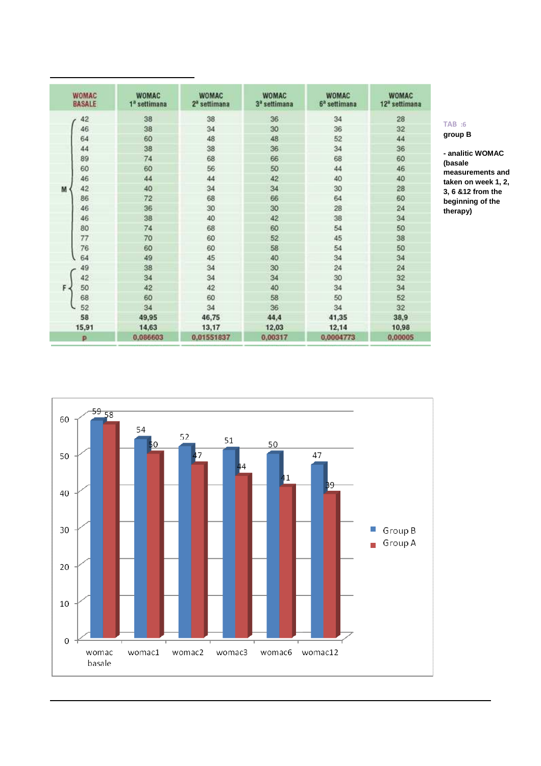| <b>WOMAC</b><br><b>BASALE</b> | <b>WOMAC</b><br>1 <sup>ª</sup> settimana | <b>WOMAC</b><br>2 <sup>ª</sup> settimana | <b>WOMAC</b><br>3 <sup>a</sup> settimana | <b>WOMAC</b><br>$6a$ settimana | <b>WOMAC</b><br>12 <sup>a</sup> settimana |
|-------------------------------|------------------------------------------|------------------------------------------|------------------------------------------|--------------------------------|-------------------------------------------|
| 42                            | 38                                       | 38                                       | 36                                       | 34                             | 28                                        |
| 46                            | 38                                       | 34                                       | 30                                       | 36                             | 32                                        |
| 64                            | 60                                       | 48                                       | 48                                       | 52                             | 44                                        |
| 44                            | 38                                       | 38                                       | 36                                       | 34                             | 36                                        |
| 89                            | 74                                       | 68                                       | 66                                       | 68                             | 60                                        |
| 60                            | 60                                       | 56                                       | 50                                       | 44                             | 46                                        |
| 46                            | 44                                       | 44                                       | 42                                       | 40                             | 40                                        |
| 42<br>M                       | 40                                       | 34                                       | 34                                       | 30                             | 28                                        |
| 86                            | 72                                       | 68                                       | 66                                       | 64                             | 60                                        |
| 46                            | 36                                       | 30                                       | 30                                       | 28                             | 24                                        |
| 46                            | 38                                       | 40                                       | 42                                       | 38                             | 34                                        |
| 80                            | 74                                       | 68                                       | 60                                       | 54                             | 50                                        |
| 77                            | 70                                       | 60                                       | 52                                       | 45                             | 38                                        |
| 76                            | 60                                       | 60                                       | 58                                       | 54                             | 50                                        |
| 64                            | 49                                       | 45                                       | 40                                       | 34                             | 34                                        |
| 49                            | 38                                       | 34                                       | 30                                       | 24                             | 24                                        |
| 42                            | 34                                       | 34                                       | 34                                       | 30                             | 32                                        |
| F.<br>50                      | 42                                       | 42                                       | 40                                       | 34                             | 34                                        |
| 68                            | 60                                       | 60                                       | 58                                       | 50                             | 52                                        |
| 52                            | 34                                       | 34                                       | 36                                       | 34                             | 32                                        |
| 58                            | 49.95                                    | 46,75                                    | 44,4                                     | 41,35                          | 38,9                                      |
| 15,91                         | 14,63                                    | 13,17                                    | 12,03                                    | 12,14                          | 10,98                                     |
| p                             | 0.086603                                 | 0.01551837                               | 0.00317                                  | 0.0004773                      | 0.00005                                   |

#### **TAB :6 group B**

**- analitic WOMAC (basale measurements and taken on week 1, 2, 3, 6 &12 from the beginning of the therapy)**